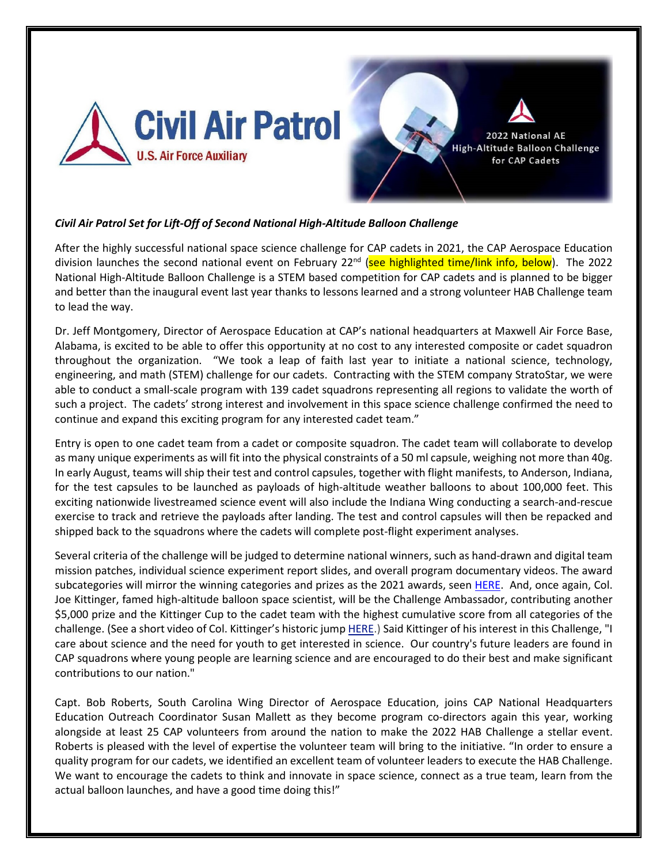

## *Civil Air Patrol Set for Lift-Off of Second National High-Altitude Balloon Challenge*

After the highly successful national space science challenge for CAP cadets in 2021, the CAP Aerospace Education division launches the second national event on February  $22^{nd}$  (see highlighted time/link info, below). The 2022 National High-Altitude Balloon Challenge is a STEM based competition for CAP cadets and is planned to be bigger and better than the inaugural event last year thanks to lessons learned and a strong volunteer HAB Challenge team to lead the way.

Dr. Jeff Montgomery, Director of Aerospace Education at CAP's national headquarters at Maxwell Air Force Base, Alabama, is excited to be able to offer this opportunity at no cost to any interested composite or cadet squadron throughout the organization. "We took a leap of faith last year to initiate a national science, technology, engineering, and math (STEM) challenge for our cadets. Contracting with the STEM company StratoStar, we were able to conduct a small-scale program with 139 cadet squadrons representing all regions to validate the worth of such a project. The cadets' strong interest and involvement in this space science challenge confirmed the need to continue and expand this exciting program for any interested cadet team."

Entry is open to one cadet team from a cadet or composite squadron. The cadet team will collaborate to develop as many unique experiments as will fit into the physical constraints of a 50 ml capsule, weighing not more than 40g. In early August, teams will ship their test and control capsules, together with flight manifests, to Anderson, Indiana, for the test capsules to be launched as payloads of high-altitude weather balloons to about 100,000 feet. This exciting nationwide livestreamed science event will also include the Indiana Wing conducting a search-and-rescue exercise to track and retrieve the payloads after landing. The test and control capsules will then be repacked and shipped back to the squadrons where the cadets will complete post-flight experiment analyses.

Several criteria of the challenge will be judged to determine national winners, such as hand-drawn and digital team mission patches, individual science experiment report slides, and overall program documentary videos. The award subcategories will mirror the winning categories and prizes as the 2021 awards, seen [HERE.](https://www.gocivilairpatrol.com/media/cms/2021_National_CAP_HighAltitude_Ball_1578FA834B134.pdf) And, once again, Col. Joe Kittinger, famed high-altitude balloon space scientist, will be the Challenge Ambassador, contributing another \$5,000 prize and the Kittinger Cup to the cadet team with the highest cumulative score from all categories of the challenge. (See a short video of Col. Kittinger's historic jump [HERE.](https://www.youtube.com/watch?v=tqg4HWE_M08)) Said Kittinger of his interest in this Challenge, "I care about science and the need for youth to get interested in science. Our country's future leaders are found in CAP squadrons where young people are learning science and are encouraged to do their best and make significant contributions to our nation."

Capt. Bob Roberts, South Carolina Wing Director of Aerospace Education, joins CAP National Headquarters Education Outreach Coordinator Susan Mallett as they become program co-directors again this year, working alongside at least 25 CAP volunteers from around the nation to make the 2022 HAB Challenge a stellar event. Roberts is pleased with the level of expertise the volunteer team will bring to the initiative. "In order to ensure a quality program for our cadets, we identified an excellent team of volunteer leaders to execute the HAB Challenge. We want to encourage the cadets to think and innovate in space science, connect as a true team, learn from the actual balloon launches, and have a good time doing this!"